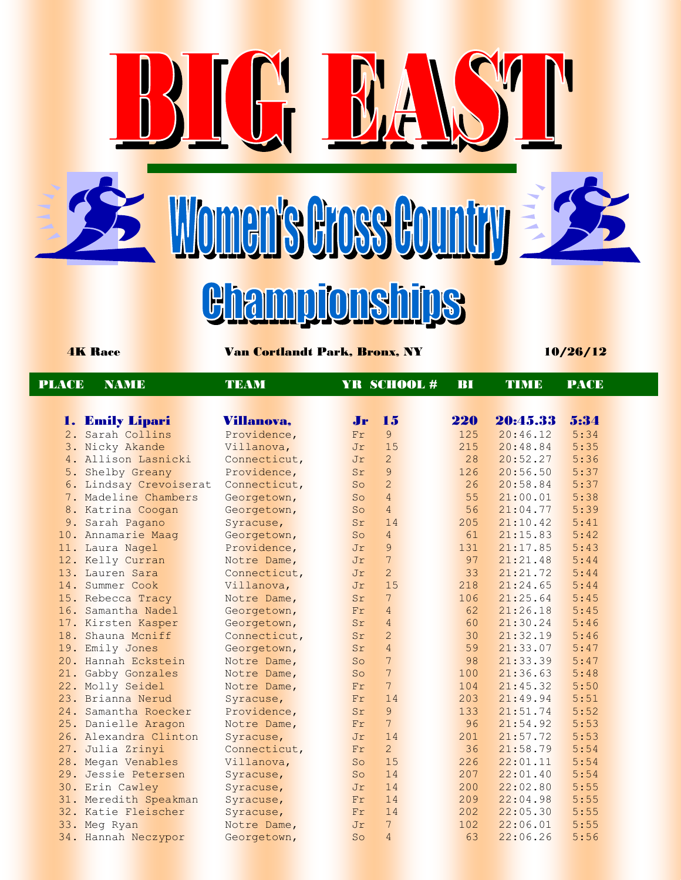Women's Gross Country

r



<u>Giampionships</u>

4K Race Van Cortlandt Park, Bronx, NY 10/26/12

| <b>PLACE</b> | <b>NAME</b>            | <b>TEAM</b>  |                  |                 | YR SCHOOL# | BI  | <b>TIME</b> | <b>PACE</b> |  |
|--------------|------------------------|--------------|------------------|-----------------|------------|-----|-------------|-------------|--|
|              |                        |              |                  |                 |            |     |             |             |  |
|              | 1. Emily Lipari        | Villanova,   | $J_{\mathbf{r}}$ | 15              |            | 220 | 20:45.33    | 5:34        |  |
|              | 2. Sarah Collins       | Providence,  | Fr               | 9 <sup>°</sup>  |            | 125 | 20:46.12    | 5:34        |  |
|              | 3. Nicky Akande        | Villanova,   | Jr               | 15              |            | 215 | 20:48.84    | 5:35        |  |
|              | 4. Allison Lasnicki    | Connecticut, | Jr               | $\overline{2}$  |            | 28  | 20:52.27    | 5:36        |  |
|              | 5. Shelby Greany       | Providence,  | Sr               | $\overline{9}$  |            | 126 | 20:56.50    | 5:37        |  |
|              | 6. Lindsay Crevoiserat | Connecticut, | So               | $\overline{2}$  |            | 26  | 20:58.84    | 5:37        |  |
|              | 7. Madeline Chambers   | Georgetown,  | So               | $\overline{4}$  |            | 55  | 21:00.01    | 5:38        |  |
|              | 8. Katrina Coogan      | Georgetown,  | So               | $\overline{4}$  |            | 56  | 21:04.77    | 5:39        |  |
|              | 9. Sarah Pagano        | Syracuse,    | Sr               | 14              |            | 205 | 21:10.42    | 5:41        |  |
|              | 10. Annamarie Maag     | Georgetown,  | So               | $\overline{4}$  |            | 61  | 21:15.83    | 5:42        |  |
|              | 11. Laura Nagel        | Providence,  | Jr               | $\overline{9}$  |            | 131 | 21:17.85    | 5:43        |  |
|              | 12. Kelly Curran       | Notre Dame,  | Jr               | $\overline{7}$  |            | 97  | 21:21.48    | 5:44        |  |
|              | 13. Lauren Sara        | Connecticut, | Jr               | $\overline{2}$  |            | 33  | 21:21.72    | 5:44        |  |
|              | 14. Summer Cook        | Villanova,   | Jr               | 15              |            | 218 | 21:24.65    | 5:44        |  |
|              | 15. Rebecca Tracy      | Notre Dame,  | Sr               | $7\overline{ }$ |            | 106 | 21:25.64    | 5:45        |  |
|              | 16. Samantha Nadel     | Georgetown,  | Fr               | $\overline{4}$  |            | 62  | 21:26.18    | 5:45        |  |
|              | 17. Kirsten Kasper     | Georgetown,  | Sr               | $\overline{4}$  |            | 60  | 21:30.24    | 5:46        |  |
|              | 18. Shauna Mcniff      | Connecticut, | Sr               | $\overline{2}$  |            | 30  | 21:32.19    | 5:46        |  |
|              | 19. Emily Jones        | Georgetown,  | Sr               | $\overline{4}$  |            | 59  | 21:33.07    | 5:47        |  |
|              | 20. Hannah Eckstein    | Notre Dame,  | So               | $\overline{7}$  |            | 98  | 21:33.39    | 5:47        |  |
|              | 21. Gabby Gonzales     | Notre Dame,  | So               | $\overline{7}$  |            | 100 | 21:36.63    | 5:48        |  |
|              | 22. Molly Seidel       | Notre Dame,  | Fr               | $7\phantom{.0}$ |            | 104 | 21:45.32    | 5:50        |  |
|              | 23. Brianna Nerud      | Syracuse,    | Fr               | 14              |            | 203 | 21:49.94    | 5:51        |  |
|              | 24. Samantha Roecker   | Providence,  | Sr               | $\overline{9}$  |            | 133 | 21:51.74    | 5:52        |  |
|              | 25. Danielle Aragon    | Notre Dame,  | Fr               | $\overline{7}$  |            | 96  | 21:54.92    | 5:53        |  |
|              | 26. Alexandra Clinton  | Syracuse,    | Jr               | 14              |            | 201 | 21:57.72    | 5:53        |  |
|              | 27. Julia Zrinyi       | Connecticut, | Fr               | $\overline{2}$  |            | 36  | 21:58.79    | 5:54        |  |
|              | 28. Megan Venables     | Villanova,   | So               | 15              |            | 226 | 22:01.11    | 5:54        |  |
|              | 29. Jessie Petersen    | Syracuse,    | So               | 14              |            | 207 | 22:01.40    | 5:54        |  |
|              | 30. Erin Cawley        | Syracuse,    | Jr               | 14              |            | 200 | 22:02.80    | 5:55        |  |
|              | 31. Meredith Speakman  | Syracuse,    | Fr               | 14              |            | 209 | 22:04.98    | 5:55        |  |
|              | 32. Katie Fleischer    | Syracuse,    | Fr               | 14              |            | 202 | 22:05.30    | 5:55        |  |
|              | 33. Meg Ryan           | Notre Dame,  | Jr               | $7\phantom{.}$  |            | 102 | 22:06.01    | 5:55        |  |
|              | 34. Hannah Neczypor    | Georgetown,  | So               | $\overline{4}$  |            | 63  | 22:06.26    | 5:56        |  |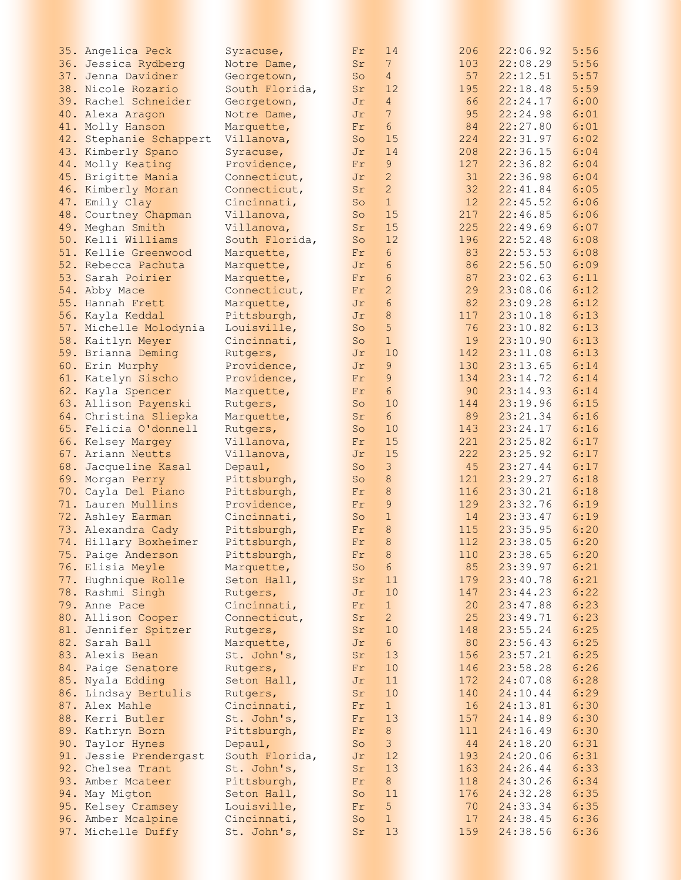| 35. Angelica Peck       | Syracuse,      | Fr | 14              | 206 | 22:06.92 | 5:56 |
|-------------------------|----------------|----|-----------------|-----|----------|------|
| 36. Jessica Rydberg     | Notre Dame,    | Sr | 7 <sup>1</sup>  | 103 | 22:08.29 | 5:56 |
|                         |                |    |                 | 57  |          |      |
| 37. Jenna Davidner      | Georgetown,    | So | $4\overline{ }$ |     | 22:12.51 | 5:57 |
| 38. Nicole Rozario      | South Florida, | Sr | 12              | 195 | 22:18.48 | 5:59 |
| 39. Rachel Schneider    | Georgetown,    | Jr | $\overline{4}$  | 66  | 22:24.17 | 6:00 |
| 40. Alexa Aragon        | Notre Dame,    | Jr | $7\phantom{.0}$ | 95  | 22:24.98 | 6:01 |
| 41. Molly Hanson        | Marquette,     | Fr | $6\phantom{.}6$ | 84  | 22:27.80 | 6:01 |
| 42. Stephanie Schappert | Villanova,     | So | 15              | 224 | 22:31.97 | 6:02 |
| 43. Kimberly Spano      | Syracuse,      | Jr | 14              | 208 | 22:36.15 | 6:04 |
|                         |                |    |                 |     |          |      |
| 44. Molly Keating       | Providence,    | Fr | $\mathsf 9$     | 127 | 22:36.82 | 6:04 |
| 45. Brigitte Mania      | Connecticut,   | Jr | $\overline{c}$  | 31  | 22:36.98 | 6:04 |
| 46. Kimberly Moran      | Connecticut,   | Sr | $\overline{2}$  | 32  | 22:41.84 | 6:05 |
| 47. Emily Clay          | Cincinnati,    | So | $\mathbf{1}$    | 12  | 22:45.52 | 6:06 |
| 48. Courtney Chapman    | Villanova,     | So | 15              | 217 | 22:46.85 | 6:06 |
| 49. Meghan Smith        | Villanova,     | Sr | 15              | 225 | 22:49.69 | 6:07 |
| 50. Kelli Williams      | South Florida, | So | 12              | 196 | 22:52.48 | 6:08 |
| 51. Kellie Greenwood    |                |    | $6\overline{6}$ | 83  | 22:53.53 | 6:08 |
|                         | Marquette,     | Fr |                 |     |          |      |
| 52. Rebecca Pachuta     | Marquette,     | Jr | 6               | 86  | 22:56.50 | 6:09 |
| 53. Sarah Poirier       | Marquette,     | Fr | $6\phantom{.}6$ | 87  | 23:02.63 | 6:11 |
| 54. Abby Mace           | Connecticut,   | Fr | $\overline{c}$  | 29  | 23:08.06 | 6:12 |
| 55. Hannah Frett        | Marquette,     | Jr | $6\phantom{.}6$ | 82  | 23:09.28 | 6:12 |
| 56. Kayla Keddal        | Pittsburgh,    | Jr | $\,8\,$         | 117 | 23:10.18 | 6:13 |
| 57. Michelle Molodynia  | Louisville,    | So | 5               | 76  | 23:10.82 | 6:13 |
|                         | Cincinnati,    | So | $\mathbf{1}$    | 19  | 23:10.90 | 6:13 |
| 58. Kaitlyn Meyer       |                |    |                 |     |          |      |
| 59. Brianna Deming      | Rutgers,       | Jr | 10              | 142 | 23:11.08 | 6:13 |
| 60. Erin Murphy         | Providence,    | Jr | 9               | 130 | 23:13.65 | 6:14 |
| 61. Katelyn Sischo      | Providence,    | Fr | $\mathsf 9$     | 134 | 23:14.72 | 6:14 |
| 62. Kayla Spencer       | Marquette,     | Fr | $6\phantom{.}6$ | 90  | 23:14.93 | 6:14 |
| 63. Allison Payenski    | Rutgers,       | So | 10              | 144 | 23:19.96 | 6:15 |
| 64. Christina Sliepka   | Marquette,     | Sr | $6\overline{6}$ | 89  | 23:21.34 | 6:16 |
| 65. Felicia O'donnell   | Rutgers,       | So | 10              | 143 | 23:24.17 | 6:16 |
|                         |                |    |                 | 221 |          | 6:17 |
| 66. Kelsey Margey       | Villanova,     | Fr | 15              |     | 23:25.82 |      |
| 67. Ariann Neutts       | Villanova,     | Jr | 15              | 222 | 23:25.92 | 6:17 |
| 68. Jacqueline Kasal    | Depaul,        | So | $\mathsf 3$     | 45  | 23:27.44 | 6:17 |
| 69. Morgan Perry        | Pittsburgh,    | So | $\,8\,$         | 121 | 23:29.27 | 6:18 |
| 70. Cayla Del Piano     | Pittsburgh,    | Fr | 8               | 116 | 23:30.21 | 6:18 |
| 71. Lauren Mullins      | Providence,    | Fr | $\overline{9}$  | 129 | 23:32.76 | 6:19 |
| 72. Ashley Earman       | Cincinnati,    | So | $1\,$           | 14  | 23:33.47 | 6:19 |
| 73. Alexandra Cady      | Pittsburgh,    | Fr | $\mathbf{8}$    | 115 | 23:35.95 | 6:20 |
| 74. Hillary Boxheimer   | Pittsburgh,    | Fr | $\,8\,$         | 112 | 23:38.05 | 6:20 |
|                         |                |    |                 |     |          |      |
| 75. Paige Anderson      | Pittsburgh,    | Fr | 8               | 110 | 23:38.65 | 6:20 |
| 76. Elisia Meyle        | Marquette,     | So | $6\overline{6}$ | 85  | 23:39.97 | 6:21 |
| 77. Hughnique Rolle     | Seton Hall,    | Sr | 11              | 179 | 23:40.78 | 6:21 |
| 78. Rashmi Singh        | Rutgers,       | Jr | 10              | 147 | 23:44.23 | 6:22 |
| 79. Anne Pace           | Cincinnati,    | Fr | $\mathbf{1}$    | 20  | 23:47.88 | 6:23 |
| 80. Allison Cooper      | Connecticut,   | Sr | $\overline{2}$  | 25  | 23:49.71 | 6:23 |
| 81. Jennifer Spitzer    | Rutgers,       | Sr | 10              | 148 | 23:55.24 | 6:25 |
| 82. Sarah Ball          |                | Jr | $6\overline{6}$ | 80  | 23:56.43 | 6:25 |
|                         | Marquette,     |    |                 |     |          |      |
| 83. Alexis Bean         | St. John's,    | Sr | 13              | 156 | 23:57.21 | 6:25 |
| 84. Paige Senatore      | Rutgers,       | Fr | 10              | 146 | 23:58.28 | 6:26 |
| 85. Nyala Edding        | Seton Hall,    | Jr | 11              | 172 | 24:07.08 | 6:28 |
| 86. Lindsay Bertulis    | Rutgers,       | Sr | 10              | 140 | 24:10.44 | 6:29 |
| 87. Alex Mahle          | Cincinnati,    | Fr | 1               | 16  | 24:13.81 | 6:30 |
| 88. Kerri Butler        | St. John's,    | Fr | 13              | 157 | 24:14.89 | 6:30 |
| 89. Kathryn Born        | Pittsburgh,    | Fr | 8 <sup>°</sup>  | 111 | 24:16.49 | 6:30 |
|                         |                |    |                 |     |          |      |
| 90. Taylor Hynes        | Depaul,        | So | $\mathbf{3}$    | 44  | 24:18.20 | 6:31 |
| 91. Jessie Prendergast  | South Florida, | Jr | 12              | 193 | 24:20.06 | 6:31 |
| 92. Chelsea Trant       | St. John's,    | Sr | 13              | 163 | 24:26.44 | 6:33 |
| 93. Amber Mcateer       | Pittsburgh,    | Fr | 8 <sup>1</sup>  | 118 | 24:30.26 | 6:34 |
| 94. May Migton          | Seton Hall,    | So | 11              | 176 | 24:32.28 | 6:35 |
| 95. Kelsey Cramsey      | Louisville,    | Fr | 5               | 70  | 24:33.34 | 6:35 |
| 96. Amber Mcalpine      | Cincinnati,    | So | $\mathbf{1}$    | 17  | 24:38.45 | 6:36 |
|                         |                |    |                 |     |          |      |
| 97. Michelle Duffy      | St. John's,    | Sr | 13              | 159 | 24:38.56 | 6:36 |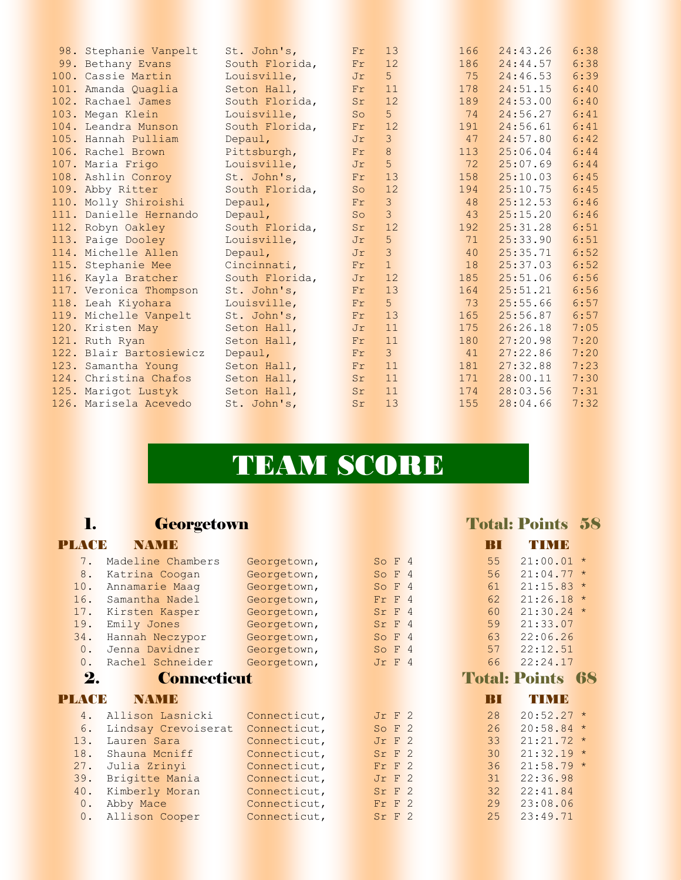| 98. Stephanie Vanpelt   | St. John's,    | Fr              | 13             | 166 | 24:43.26 | 6:38 |
|-------------------------|----------------|-----------------|----------------|-----|----------|------|
| 99. Bethany Evans       | South Florida, | Fr              | 12             | 186 | 24:44.57 | 6:38 |
| 100. Cassie Martin      | Louisville,    | Jr              | 5              | 75  | 24:46.53 | 6:39 |
| 101. Amanda Quaglia     | Seton Hall,    | Fr              | 11             | 178 | 24:51.15 | 6:40 |
| 102. Rachael James      | South Florida, | Sr              | 12             | 189 | 24:53.00 | 6:40 |
| 103. Megan Klein        | Louisville,    | SO <sub>2</sub> | 5              | 74  | 24:56.27 | 6:41 |
| 104. Leandra Munson     | South Florida, | Fr              | 12             | 191 | 24:56.61 | 6:41 |
| 105. Hannah Pulliam     | Depaul,        | Jr              | $\mathcal{E}$  | 47  | 24:57.80 | 6:42 |
| 106. Rachel Brown       | Pittsburgh,    | Fr              | 8              | 113 | 25:06.04 | 6:44 |
| 107. Maria Frigo        | Louisville,    | Jr              | 5              | 72  | 25:07.69 | 6:44 |
| 108. Ashlin Conroy      | St. John's,    | Fr              | 13             | 158 | 25:10.03 | 6:45 |
| 109. Abby Ritter        | South Florida, | So              | 12             | 194 | 25:10.75 | 6:45 |
| 110. Molly Shiroishi    | Depaul,        | Fr              | $\overline{3}$ | 48  | 25:12.53 | 6:46 |
| 111. Danielle Hernando  | Depaul,        | So              | 3              | 43  | 25:15.20 | 6:46 |
| 112. Robyn Oakley       | South Florida, | Sr              | 12             | 192 | 25:31.28 | 6:51 |
| 113. Paige Dooley       | Louisville,    | Jr              | 5              | 71  | 25:33.90 | 6:51 |
| 114. Michelle Allen     | Depaul,        | Jr              | 3              | 40  | 25:35.71 | 6:52 |
| 115. Stephanie Mee      | Cincinnati,    | Fr              | $\mathbf{1}$   | 18  | 25:37.03 | 6:52 |
| 116. Kayla Bratcher     | South Florida, | Jr              | 12             | 185 | 25:51.06 | 6:56 |
| 117. Veronica Thompson  | St. John's,    | Fr              | 13             | 164 | 25:51.21 | 6:56 |
| 118. Leah Kiyohara      | Louisville,    | Fr              | 5              | 73  | 25:55.66 | 6:57 |
| 119. Michelle Vanpelt   | St. John's,    | Fr              | 13             | 165 | 25:56.87 | 6:57 |
| 120. Kristen May        | Seton Hall,    | Jr              | 11             | 175 | 26:26.18 | 7:05 |
| 121. Ruth Ryan          | Seton Hall,    | Fr              | 11             | 180 | 27:20.98 | 7:20 |
| 122. Blair Bartosiewicz | Depaul,        | Fr              | 3              | 41  | 27:22.86 | 7:20 |
| 123. Samantha Young     | Seton Hall,    | Fr              | 11             | 181 | 27:32.88 | 7:23 |
| 124. Christina Chafos   | Seton Hall,    | Sr              | 11             | 171 | 28:00.11 | 7:30 |
| 125. Marigot Lustyk     | Seton Hall,    | Sr              | 11             | 174 | 28:03.56 | 7:31 |
| 126. Marisela Acevedo   | St. John's,    | Sr              | 13             | 155 | 28:04.66 | 7:32 |
|                         |                |                 |                |     |          |      |

## TEAM SCORE

## 1. Georgetown Total: Points 58

## PLACE NAME BI TIME

| 7.    | Madeline Chambers   | Georgetown,  |              | So F 4     | 55   | $21:00.01$ *            |  |
|-------|---------------------|--------------|--------------|------------|------|-------------------------|--|
| 8.    | Katrina Coogan      | Georgetown,  | So $F4$      |            | 56   | $21:04.77$ *            |  |
| 10.   | Annamarie Maag      | Georgetown,  |              | So $F4$    | 61   | $21:15.83*$             |  |
| 16.   | Samantha Nadel      | Georgetown,  | $Fr$ $F$ 4   |            | 62   | $21:26.18$ *            |  |
| 17.   | Kirsten Kasper      | Georgetown,  | Sr F 4       |            | 60   | $21:30.24$ *            |  |
| 19.   | Emily Jones         | Georgetown,  | Sr F 4       |            | 59   | 21:33.07                |  |
| 34.   | Hannah Neczypor     | Georgetown,  | So F 4       |            | 63   | 22:06.26                |  |
| 0.    | Jenna Davidner      | Georgetown,  |              | So $F4$    | 57   | 22:12.51                |  |
| 0.    | Rachel Schneider    | Georgetown,  | $Jr$ F $4$   |            | 66   | 22:24.17                |  |
| 2.    | <b>Connecticut</b>  |              |              |            |      | <b>Total: Points 68</b> |  |
| PLACE | NAMIE               |              |              |            | 18 I | TUMB                    |  |
| 4.    | Allison Lasnicki    | Connecticut, | $Jr$ $F$ $2$ |            | 28   | $20:52.27$ *            |  |
| 6.    | Lindsay Crevoiserat | Connecticut, |              | So F 2     | 26   | $20:58.84$ *            |  |
| 13.   | Lauren Sara         | Connecticut, | $Jr$ F $2$   |            | 33   | $21:21.72$ *            |  |
| 18.   | Shauna Mcniff       | Connecticut, | Sr F 2       |            | 30   | $21:32.19*$             |  |
| 27.   | Julia Zrinyi        | Connecticut, | $Fr$ $F$ 2   |            | 36   | $21:58.79$ *            |  |
|       |                     |              |              |            |      |                         |  |
| 39.   | Brigitte Mania      | Connecticut, |              | $Jr$ F $2$ | 31   | 22:36.98                |  |
| 40.   | Kimberly Moran      | Connecticut, | Sr F 2       |            | 32   | 22:41.84                |  |
| 0.    | Abby Mace           | Connecticut, | $Fr$ F $2$   |            | 29   | 23:08.06                |  |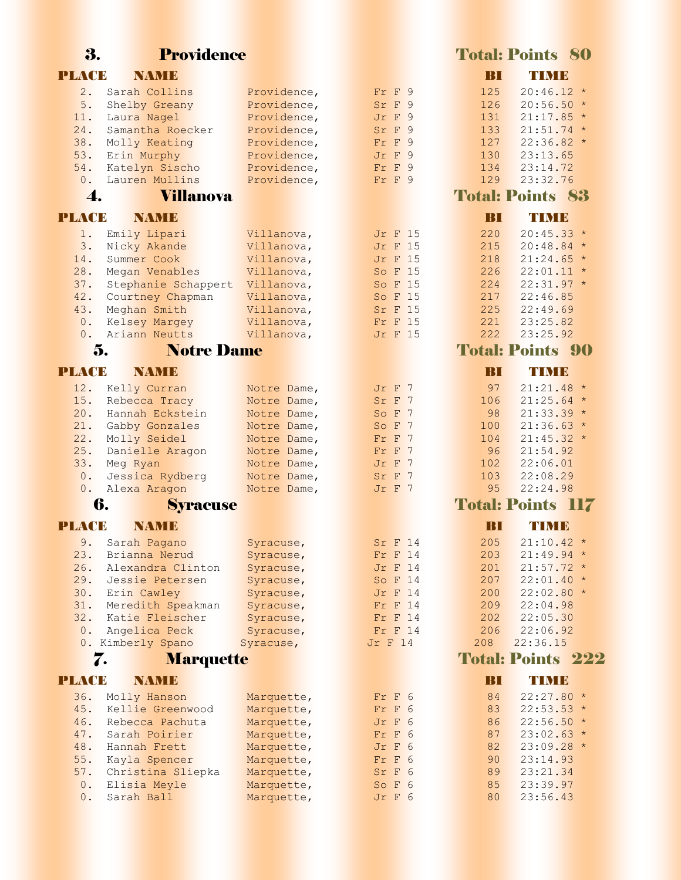| PLACE        | NAMID                              |                            |                                  |                | BI         | TIMB                               |
|--------------|------------------------------------|----------------------------|----------------------------------|----------------|------------|------------------------------------|
| 2.           | Sarah Collins                      | Providence,                | Fr F 9                           |                | 125        | 20:46.12                           |
| 5.           | Shelby Greany                      | Providence,                | Sr F 9                           |                | 126        | 20:56.50                           |
| 11.          | Laura Nagel                        | Providence,                | Jr F                             | 9              | 131        | 21:17.85                           |
| 24.          | Samantha Roecker                   | Providence,                | Sr F                             | 9              | 133        | 21:51.74                           |
| 38.          | Molly Keating                      | Providence,                | F<br>Fr                          | 9              | 127        | 22:36.82                           |
| 53.          | Erin Murphy                        | Providence,                | F<br>Jr                          | 9              | 130        | 23:13.65                           |
| 54.          | Katelyn Sischo                     | Providence,                | F<br>Fr                          | 9              | 134        | 23:14.72                           |
| 0.<br>4.     | Lauren Mullins<br><b>Villanova</b> | Providence,                | Fr F 9                           |                | 129        | 23:32.76<br><b>Total: Points 8</b> |
| PLACE        | <b>NAMIE</b>                       |                            |                                  |                | BI         | <b>TIMB</b>                        |
|              |                                    |                            |                                  |                |            |                                    |
| 1.<br>3.     | Emily Lipari<br>Nicky Akande       | Villanova,<br>Villanova,   | <b>Jr F 15</b><br><b>Jr F 15</b> |                | 220<br>215 | 20:45.33<br>20:48.84               |
| 14.          | Summer Cook                        | Villanova,                 | <b>Jr F 15</b>                   |                | 218        | 21:24.65                           |
| 28.          | Megan Venables                     | Villanova,                 | So F 15                          |                | 226        | 22:01.11                           |
| 37.          | Stephanie Schappert                | Villanova,                 | So F 15                          |                | 224        | 22:31.97                           |
| 42.          | Courtney Chapman                   | Villanova,                 | So F 15                          |                | 217        | 22:46.85                           |
| 43.          | Meghan Smith                       | Villanova,                 | Sr F                             | 15             | 225        | 22:49.69                           |
| 0.           | Kelsey Margey                      | Villanova,                 | $\mathbf{F}$<br>Fr               | 1.5            | 221        | 23:25.82                           |
| 0.           | Ariann Neutts                      | Villanova,                 | <b>Jr F 15</b>                   |                | 222        | 23:25.92                           |
|              | <b>Notre Dame</b><br>5.            |                            |                                  |                |            | <b>Total: Points 9</b>             |
| <b>PLACE</b> | <b>NAMIE</b>                       |                            |                                  |                | BI         | TIMB                               |
| 12.          | Kelly Curran                       | Notre Dame,                | Jr F                             | 7              | 97         | 21:21.48                           |
| 15.          | Rebecca Tracy                      | Notre Dame,                | Sr F                             | $\overline{7}$ | 106        | 21:25.64                           |
| 20.          | Hannah Eckstein                    | Notre Dame,                | So F                             | 7              | 98         | 21:33.39                           |
| 21.          | Gabby Gonzales                     | Notre Dame,                | So F                             | 7              | 100        | 21:36.63                           |
| 22.          | Molly Seidel                       | Notre Dame,                | Fr F                             | 7              | 104        | 21:45.32                           |
| 25.          | Danielle Aragon                    | Notre Dame,                | Fr F 7                           |                | 96         | 21:54.92                           |
| 33.<br>0.    | Meg Ryan                           | Notre Dame,                | Jr F<br>Sr F                     | 7<br>7         | 102<br>103 | 22:06.01<br>22:08.29               |
| 0.           | Jessica Rydberg<br>Alexa Aragon    | Notre Dame,<br>Notre Dame, | Jr F                             | 7              | 95         | 22:24.98                           |
|              | 6.<br><b>Syracuse</b>              |                            |                                  |                |            | <b>Total: Points II</b>            |
| <b>PLACE</b> | NAMIE                              |                            |                                  |                | BI         | TIMB                               |
| 9.           | Sarah Pagano                       | Syracuse,                  | Sr F                             | 14             | 205        | 21:10.42                           |
| 23.          | Brianna Nerud                      | Syracuse,                  | Fr F 14                          |                | 203        | 21:49.94                           |
| 26.          | Alexandra Clinton                  | Syracuse,                  | Jr F 14                          |                | 201        | 21:57.72                           |
| 29.          | Jessie Petersen                    | Syracuse,                  | So F 14                          |                | 207        | 22:01.40                           |
| 30.          | Erin Cawley                        | Syracuse,                  | <b>Jr F 14</b>                   |                | 200        | 22:02.80                           |
| 31.          | Meredith Speakman                  | Syracuse,                  | Fr F 14                          |                | 209        | 22:04.98                           |
| 32.          | Katie Fleischer                    | Syracuse,                  | Fr F 14                          |                | 202        | 22:05.30                           |
| 0.           | Angelica Peck                      | Syracuse,                  | Fr F 14                          |                | 206        | 22:06.92                           |
|              | 0. Kimberly Spano                  | Syracuse,                  | <b>Jr F 14</b>                   |                | 208        | 22:36.15                           |
|              | 7.<br>Marquette                    |                            |                                  |                |            | <b>Total: Points 2</b>             |
| PLACE        | <b>NAMB</b>                        |                            |                                  |                | BП         | TIMB                               |
| 36.          | Molly Hanson                       | Marquette,                 | $Fr$ $F$ 6                       |                | 84         | 22:27.80                           |
| 45.          | Kellie Greenwood                   | Marquette,                 | Fr F 6                           |                | 83         | 22:53.53                           |
| 46.          | Rebecca Pachuta                    | Marquette,                 | Jr F 6                           |                | 86         | 22:56.50                           |
| 47.          | Sarah Poirier                      | Marquette,                 | Fr F                             | 6              | 87         | 23:02.63                           |
| 48.          | Hannah Frett                       | Marquette,                 | Jr F 6                           |                | 82         | 23:09.28                           |
| 55.          | Kayla Spencer                      | Marquette,                 | Fr F 6                           |                | 90         | 23:14.93                           |
| 57.<br>0.    | Christina Sliepka<br>Elisia Meyle  | Marquette,<br>Marquette,   | Sr F 6<br>So F 6                 |                | 89<br>85   | 23:21.34<br>23:39.97               |
| 0.           | Sarah Ball                         | Marquette,                 | Jr F 6                           |                | 80         | 23:56.43                           |
|              |                                    |                            |                                  |                |            |                                    |

3. Providence Total: Points 80  $125$   $20:46.12$  \*  $126$   $20:56.50$  \*  $131$   $21:17.85$  \*  $133$   $21:51.74$  \*  $127$   $22:36.82$  \* Total: Points 83  $15$  220 20:45.33  $\star$  $\frac{15}{215}$  20:48.84 \*  $15$  218 21:24.65 \*  $15$  226 22:01.11  $*$  $\frac{15}{224}$  22:31.97 \* Total: Points 90  $97 \quad 21:21.48$  \*  $106$   $21:25.64$  \*  $98$  21:33.39 \*  $100$   $21:36.63$  \*  $104$   $21:45.32$  \* Total: Points 117  $\frac{14}{205}$  21:10.42 \*  $14$  203 21:49.94 \*  $\frac{14}{201}$  21:57.72 \*  $\frac{14}{207}$  22:01.40 \*  $\frac{14}{200}$  22:02.80 \* 0. Kimberly Surang Surang 22:36.15 Total: Points 222  $84$  22:27.80  $*$  $83. 22:53.53 *$  $6. 86. 22:56.50 *$  $6$  87 23:02.63  $*$  $6$  82 23:09.28  $*$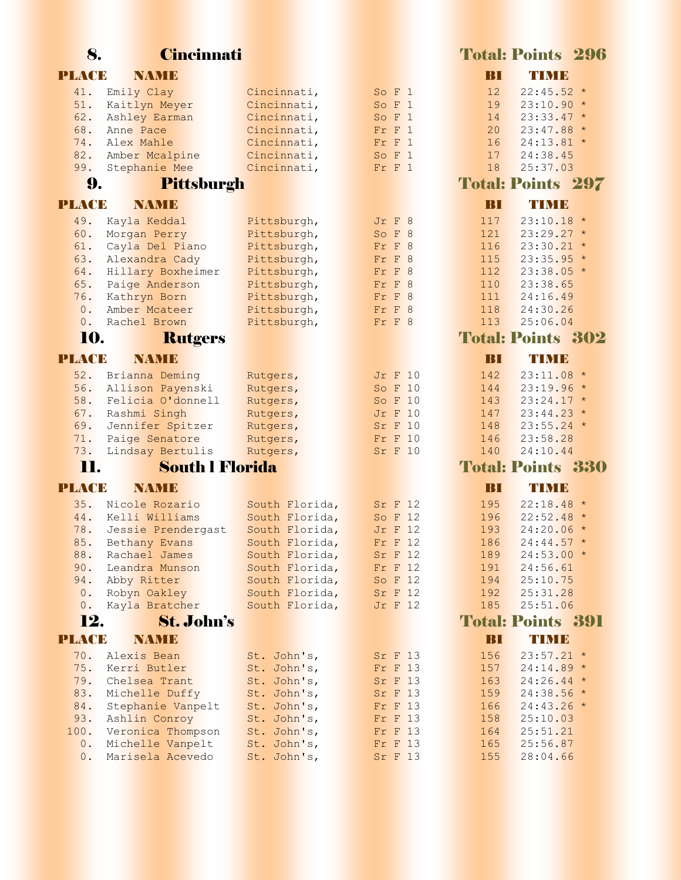| 8.           | <b>Cincinnati</b>                  |                                  |                           |                 | <b>Total: Points 296</b>    |
|--------------|------------------------------------|----------------------------------|---------------------------|-----------------|-----------------------------|
| <b>PLACE</b> | <b>NAMIE</b>                       |                                  |                           | TRTI            | <b>TIMB</b>                 |
| 41.          | Emily Clay                         | Cincinnati,                      | So F 1                    | 12              | $22:45.52*$                 |
| 51.          | Kaitlyn Meyer                      | Cincinnati,                      | So F 1                    | 19              | $23:10.90*$                 |
| 62.          | Ashley Earman                      | Cincinnati,                      | So F 1                    | 14              | $23:33.47$ *                |
| 68.          | Anne Pace                          | Cincinnati,                      | $Fr$ $F$ $1$              | 20              | $23:47.88$ *                |
| 74.          | Alex Mahle                         | Cincinnati,                      | $Fr$ $F$ 1                | 16              | $24:13.81$ *                |
| 82.          | Amber Mcalpine                     | Cincinnati,                      | So F 1                    | 17              | 24:38.45                    |
| 99.          | Stephanie Mee                      | Cincinnati,                      | $Fr$ $F$ 1                | 18              | 25:37.03                    |
| 9.           | Pittsburgh                         |                                  |                           |                 | <b>Total: Points 297</b>    |
| <b>PLACE</b> | NAMID                              |                                  |                           | BП              | <b>TIMB</b>                 |
| 49.          | Kayla Keddal                       | Pittsburgh,                      | Jr F 8                    | 117             | $23:10.18$ *                |
| 60.          | Morgan Perry                       | Pittsburgh,                      | So F 8                    | 121             | $23:29.27$ *                |
| 61.          | Cayla Del Piano                    | Pittsburgh,                      | $Fr$ $F$ 8                | 116             | $23:30.21$ *                |
| 63.          | Alexandra Cady                     | Pittsburgh,                      | $Fr$ $F$ 8                | 115             | $23:35.95$ *                |
| 64.          | Hillary Boxheimer                  | Pittsburgh,                      | $Fr$ $F$ 8                | 112             | $23:38.05*$                 |
| 65.          | Paige Anderson                     | Pittsburgh,                      | Fr F 8                    | 110             | 23:38.65                    |
| 76.<br>$0$ . | Kathryn Born<br>Amber Mcateer      | Pittsburgh,                      | $Fr$ $F$ 8<br>$Fr$ $F$ 8  | 111<br>118      | 24:16.49                    |
| 0.           | Rachel Brown                       | Pittsburgh,<br>Pittsburgh,       | Fr F 8                    | 113             | 24:30.26<br>25:06.04        |
| 10.          |                                    |                                  |                           |                 | <b>Total: Points 302</b>    |
|              | <b>Rutgers</b>                     |                                  |                           |                 |                             |
| <b>PLACE</b> | <b>NAMIE</b>                       |                                  |                           | BI              | TIMB                        |
| 52.          | Brianna Deming                     | Rutgers,                         | <b>Jr F 10</b>            | 142             | $23:11.08*$                 |
| 56.          | Allison Payenski                   | Rutgers,                         | So F 10                   | 144             | $23:19.96*$                 |
| 58.          | Felicia O'donnell                  | Rutgers,                         | So F 10                   | 143             | $23:24.17$ *                |
| 67.          | Rashmi Singh                       | Rutgers,                         | <b>Jr F 10</b>            | 147             | $23:44.23$ *                |
| 69.          | Jennifer Spitzer                   | Rutgers,                         | <b>Sr F 10</b>            | 148             | $23:55.24$ *                |
| 71.<br>73.   | Paige Senatore<br>Lindsay Bertulis | Rutgers,                         | Fr F 10<br><b>Sr F 10</b> | 146<br>140      | 23:58.28<br>24:10.44        |
|              |                                    | Rutgers,                         |                           |                 |                             |
| 11.          | <b>South l Florida</b>             |                                  |                           |                 | <b>Total: Points 330</b>    |
| <b>PLACE</b> | NAMID                              |                                  |                           | BП              | <b>TIMB</b>                 |
| 35.          | Nicole Rozario                     | South Florida,                   | Sr F 12                   | 195             | $22:18.48$ *                |
| 44.          | Kelli Williams                     | South Florida,                   | So F 12                   | 196             | $22:52.48$ *                |
| 78.          | Jessie Prendergast                 | South Florida,                   | <b>Jr F 12</b>            | 193             | $24:20.06*$                 |
| 85.          | Bethany Evans                      | South Florida,                   | $Fr$ $F$ 12               | 186             | $24:44.57$ *                |
| 88.          | Rachael James                      | South Florida,                   | Sr F 12                   | 189             | $24:53.00 *$                |
| 90.          | Leandra Munson                     | South Florida,                   | $Fr$ F 12                 | 191             | 24:56.61                    |
| 94.<br>0.    | Abby Ritter                        | South Florida,<br>South Florida, | So F 12<br>Sr F 12        | 194<br>192      | 25:10.75                    |
| 0.           | Robyn Oakley<br>Kayla Bratcher     | South Florida,                   | <b>Jr F 12</b>            | 185             | 25:31.28<br>25:51.06        |
| 12.          | <b>St. John's</b>                  |                                  |                           |                 | <b>Total: Points 391</b>    |
|              |                                    |                                  |                           |                 |                             |
| <b>PLACE</b> | <b>NAME</b>                        |                                  |                           | $\overline{B}I$ | TIME                        |
| 70.          | Alexis Bean                        | St. John's,                      | Sr F 13                   | 156             | $23:57.21$ *                |
| 75.          | Kerri Butler                       | St. John's,                      | $Fr$ $F$ 13               | 157             | $24:14.89*$                 |
| 79.<br>83.   | Chelsea Trant<br>Michelle Duffy    | St. John's,<br>St. John's,       | Sr F 13<br>Sr F 13        | 163<br>159      | $24:26.44$ *<br>$24:38.56*$ |
| 84.          | Stephanie Vanpelt                  | St. John's,                      | Fr F 13                   | 166             | $24:43.26$ *                |
| 93.          | Ashlin Conroy                      | St. John's,                      | Fr F 13                   | 158             | 25:10.03                    |
| 100.         | Veronica Thompson                  | St. John's,                      | Fr F 13                   | 164             | 25:51.21                    |
| 0.           | Michelle Vanpelt                   | St. John's,                      | Fr F 13                   | 165             | 25:56.87                    |
| 0.           | Marisela Acevedo                   | St. John's,                      | Sr F 13                   | 155             | 28:04.66                    |
|              |                                    |                                  |                           |                 |                             |